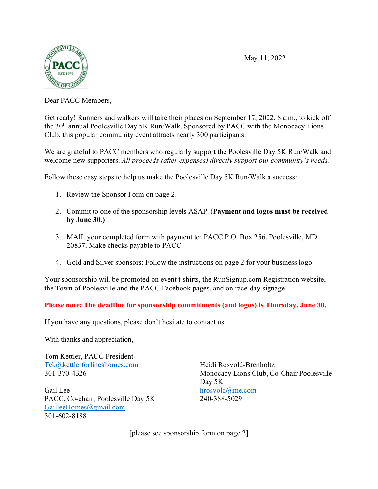May 11, 2022



Dear PACC Members,

Get ready! Runners and walkers will take their places on September 17, 2022, 8 a.m., to kick off the 30<sup>th</sup> annual Poolesville Day 5K Run/Walk. Sponsored by PACC with the Monocacy Lions Club, this popular community event attracts nearly 300 participants.

We are grateful to PACC members who regularly support the Poolesville Day 5K Run/Walk and welcome new supporters. *All proceeds (after expenses) directly support our community's needs.*

Follow these easy steps to help us make the Poolesville Day 5K Run/Walk a success:

- 1. Review the Sponsor Form on page 2.
- 2. Commit to one of the sponsorship levels ASAP. (**Payment and logos must be received by June 30.)**
- 3. MAIL your completed form with payment to: PACC P.O. Box 256, Poolesville, MD 20837. Make checks payable to PACC*.*
- 4. Gold and Silver sponsors: Follow the instructions on page 2 for your business logo.

Your sponsorship will be promoted on event t-shirts, the RunSignup.com Registration website, the Town of Poolesville and the PACC Facebook pages, and on race-day signage.

**Please note: The deadline for sponsorship commitments (and logos) is Thursday, June 30.** 

If you have any questions, please don't hesitate to contact us.

With thanks and appreciation,

Tom Kettler, PACC President [Tek@kettlerforlineshomes.com](mailto:Tek@kettlerforlineshomes.com)  301-370-4326

Gail Lee PACC, Co-chair, Poolesville Day 5K [GailleeHomes@gmail.com](mailto:GailleeHomes@gmail.com)  301-602-8188

Heidi Rosvold-Brenholtz Monocacy Lions Club, Co-Chair Poolesville Day 5K [hrosvold@me.com](mailto:hrosvold@me.com) 240-388-5029

[please see sponsorship form on page 2]